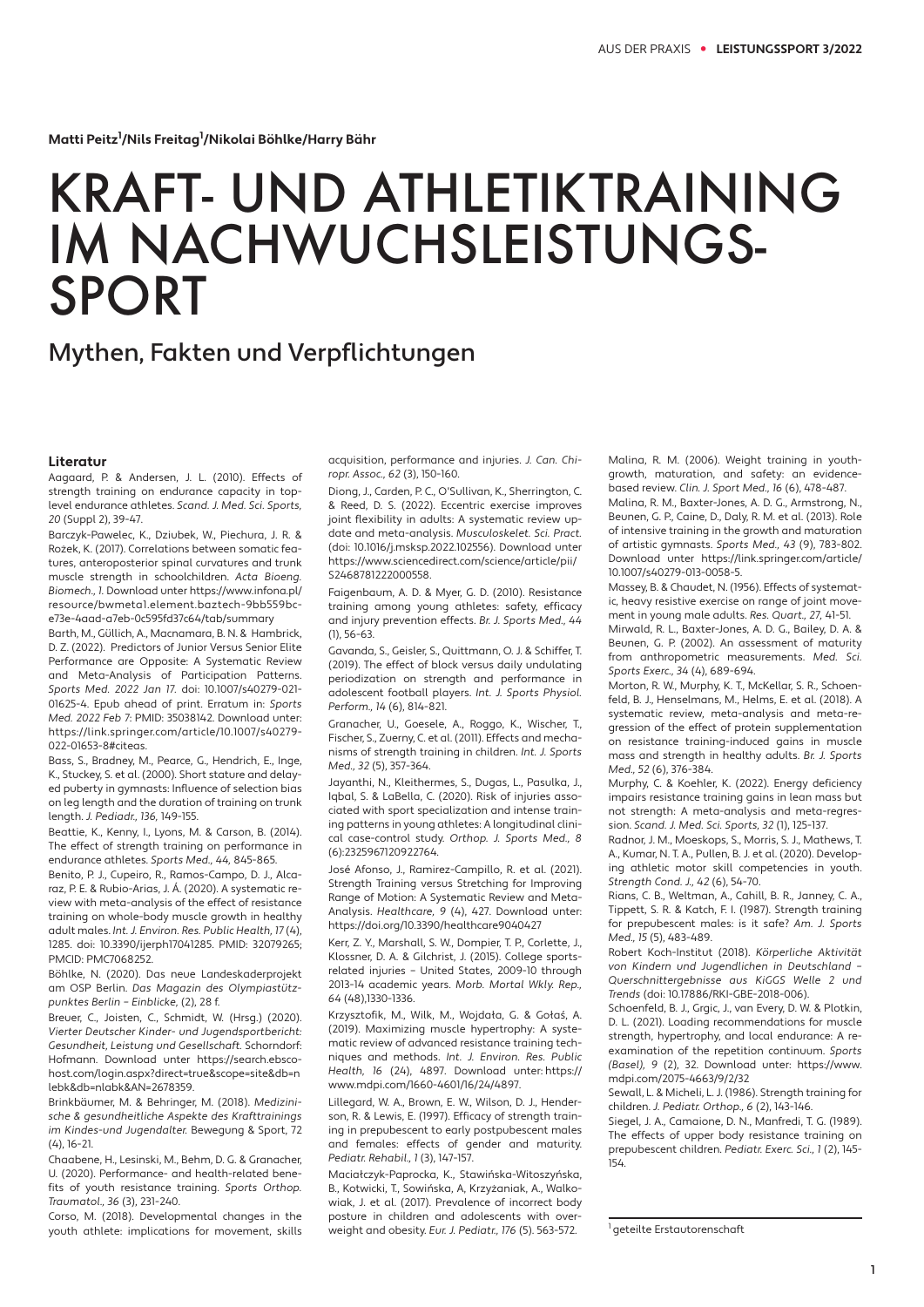**Matti Peitz1 /Nils Freitag1 /Nikolai Böhlke/Harry Bähr** 

## KRAFT- UND ATHLETIKTRAINING IM NACHWUCHSLEISTUNGS-SPORT

## Mythen, Fakten und Verpflichtungen

## **Literatur**

Aagaard, P. & Andersen, J. L. (2010). Effects of strength training on endurance capacity in toplevel endurance athletes. Scand. J. Med. Sci. Sports, 20 (Suppl 2), 39-47.

Barczyk-Pawelec, K., Dziubek, W., Piechura, J. R. & Rożek, K. (2017). Correlations between somatic features, anteroposterior spinal curvatures and trunk muscle strength in schoolchildren. Acta Bioeng. Biomech., 1. Download unter https://www.infona.pl/ resource/bwmeta1.element.baztech-9bb559bce73e-4aad-a7eb-0c595fd37c64/tab/summary

Barth, M., Güllich, A., Macnamara, B. N. & Hambrick, D. Z. (2022). Predictors of Junior Versus Senior Elite Performance are Opposite: A Systematic Review and Meta-Analysis of Participation Patterns. Sports Med. 2022 Jan 17. doi: 10.1007/s40279-021- 01625-4. Epub ahead of print. Erratum in: Sports Med. 2022 Feb 7: PMID: 35038142. Download unter: https://link.springer.com/article/10.1007/s40279- 022-01653-8#citeas.

Bass, S., Bradney, M., Pearce, G., Hendrich, E., Inge, K., Stuckey, S. et al. (2000). Short stature and delayed puberty in gymnasts: Influence of selection bias on leg length and the duration of training on trunk length. J. Pediadr., 136, 149-155.

Beattie, K., Kenny, I., Lyons, M. & Carson, B. (2014). The effect of strength training on performance in endurance athletes. Sports Med., 44, 845-865.

Benito, P. J., Cupeiro, R., Ramos-Campo, D. J., Alcaraz, P. E. & Rubio-Arias, J. Á. (2020). A systematic review with meta-analysis of the effect of resistance training on whole-body muscle growth in healthy adult males. Int. J. Environ. Res. Public Health, 17 (4), 1285. doi: 10.3390/ijerph17041285. PMID: 32079265; PMCID: PMC7068252.

Böhlke, N. (2020). Das neue Landeskaderprojekt am OSP Berlin. Das Magazin des Olympiastützpunktes Berlin – Einblicke, (2), 28 f.

Breuer, C., Joisten, C., Schmidt, W. (Hrsg.) (2020). Vierter Deutscher Kinder- und Jugendsportbericht: Gesundheit, Leistung und Gesellschaft. Schorndorf: Hofmann. Download unter https://search.ebscohost.com/login.aspx?direct=true&scope=site&db=n lebk&db=nlabk&AN=2678359.

Brinkbäumer, M. & Behringer, M. (2018). Medizinische & gesundheitliche Aspekte des Krafttrainings im Kindes-und Jugendalter. Bewegung & Sport, 72 (4), 16-21.

Chaabene, H., Lesinski, M., Behm, D. G. & Granacher, U. (2020). Performance- and health-related benefits of youth resistance training. Sports Orthop. Traumatol., 36 (3), 231-240.

Corso, M. (2018). Developmental changes in the youth athlete: implications for movement, skills acquisition, performance and injuries. J. Can. Chiropr. Assoc., 62 (3), 150-160.

Diong, J., Carden, P. C., O'Sullivan, K., Sherrington, C. & Reed, D. S. (2022). Eccentric exercise improves joint flexibility in adults: A systematic review update and meta-analysis. Musculoskelet. Sci. Pract. (doi: 10.1016/j.msksp.2022.102556). Download unter https://www.sciencedirect.com/science/article/pii/ S2468781222000558.

Faigenbaum, A. D. & Myer, G. D. (2010). Resistance training among young athletes: safety, efficacy and injury prevention effects. Br. J. Sports Med., 44 (1), 56-63.

Gavanda, S., Geisler, S., Quittmann, O. J. & Schiffer, T. (2019). The effect of block versus daily undulating periodization on strength and performance in adolescent football players. Int. J. Sports Physiol. Perform., 14 (6), 814-821.

Granacher, U., Goesele, A., Roggo, K., Wischer, T., Fischer, S., Zuerny, C. et al. (2011). Effects and mechanisms of strength training in children. Int. J. Sports Med., 32 (5), 357-364.

Jayanthi, N., Kleithermes, S., Dugas, L., Pasulka, J., Iqbal, S. & LaBella, C. (2020). Risk of injuries associated with sport specialization and intense train ing patterns in young athletes: A longitudinal clinical case-control study. Orthop. J. Sports Med., 8 (6):2325967120922764.

José Afonso, J., Ramirez-Campillo, R. et al. (2021). Strength Training versus Stretching for Improving Range of Motion: A Systematic Review and Meta-Analysis. Healthcare, 9 (4), 427. Download unter: https://doi.org/10.3390/healthcare9040427

Kerr, Z. Y., Marshall, S. W., Dompier, T. P., Corlette, J., Klossner, D. A. & Gilchrist, J. (2015). College sportsrelated injuries – United States, 2009-10 through 2013-14 academic years. Morb. Mortal Wkly. Rep., 64 (48),1330-1336.

Krzysztofik, M., Wilk, M., Wojdała, G. & Gołaś, A. (2019). Maximizing muscle hypertrophy: A systematic review of advanced resistance training techniques and methods. Int. J. Environ. Res. Public Health, 16 (24), 4897. Download unter: https:// www.mdpi.com/1660-4601/16/24/4897.

Lillegard, W. A., Brown, E. W., Wilson, D. J., Henderson, R. & Lewis, E. (1997). Efficacy of strength training in prepubescent to early postpubescent males and females: effects of gender and maturity. Pediatr. Rehabil., 1 (3), 147-157.

Maciałczyk-Paprocka, K., Stawińska-Witoszyńska, B., Kotwicki, T., Sowińska, A, Krzyżaniak, A., Walkowiak, J. et al. (2017). Prevalence of incorrect body posture in children and adolescents with overweight and obesity. Eur. J. Pediatr., 176 (5). 563-572.

Malina, R. M. (2006). Weight training in youthgrowth, maturation, and safety: an evidencebased review. Clin. J. Sport Med., 16 (6), 478-487.

Malina, R. M., Baxter-Jones, A. D. G., Armstrong, N., Beunen, G. P., Caine, D., Daly, R. M. et al. (2013). Role of intensive training in the growth and maturation of artistic gymnasts. Sports Med., 43 (9), 783-802. Download unter https://link.springer.com/article/ 10.1007/s40279-013-0058-5.

Massey, B. & Chaudet, N. (1956). Effects of systemat ic, heavy resistive exercise on range of joint movement in young male adults. Res. Quart., 27, 41-51.

Mirwald, R. L., Baxter-Jones, A. D. G., Bailey, D. A. & Beunen, G. P. (2002). An assessment of maturity from anthropometric measurements. Med. Sci. Sports Exerc., 34 (4), 689-694.

Morton, R. W., Murphy, K. T., McKellar, S. R., Schoenfeld, B. J., Henselmans, M., Helms, E. et al. (2018). A systematic review, meta-analysis and meta-regression of the effect of protein supplementation on resistance training-induced gains in muscle mass and strength in healthy adults. Br. J. Sports Med., 52 (6), 376-384.

Murphy, C. & Koehler, K. (2022). Energy deficiency impairs resistance training gains in lean mass but not strength: A meta-analysis and meta-regression. Scand. J. Med. Sci. Sports, 32 (1), 125-137.

Radnor, J. M., Moeskops, S., Morris, S. J., Mathews, T. A., Kumar, N. T. A., Pullen, B. J. et al. (2020). Develop ing athletic motor skill competencies in youth. Strength Cond. J., 42 (6), 54-70.

Rians, C. B., Weltman, A., Cahill, B. R., Janney, C. A., Tippett, S. R. & Katch, F. I. (1987). Strength training for prepubescent males: is it safe? Am. J. Sports Med., 15 (5), 483-489.

Robert Koch-Institut (2018). Körperliche Aktivität von Kindern und Jugendlichen in Deutschland – Querschnittergebnisse aus KiGGS Welle 2 und Trends (doi: 10.17886/RKI-GBE-2018-006).

Schoenfeld, B. J., Grgic, J., van Every, D. W. & Plotkin, D. L. (2021). Loading recommendations for muscle strength, hypertrophy, and local endurance: A reexamination of the repetition continuum. Sports (Basel), 9 (2), 32. Download unter: https://www. mdpi.com/2075-4663/9/2/32

Sewall, L. & Micheli, L. J. (1986). Strength training for children. J. Pediatr. Orthop., 6 (2), 143-146.

Siegel, J. A., Camaione, D. N., Manfredi, T. G. (1989). The effects of upper body resistance training on prepubescent children. Pediatr. Exerc. Sci., 1 (2), 145- 154.

<sup>1</sup> geteilte Erstautorenschaft